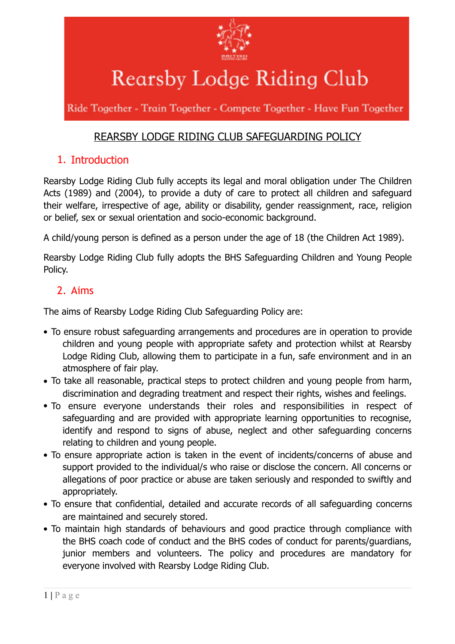

# Rearsby Lodge Riding Club

Ride Together - Train Together - Compete Together - Have Fun Together

# REARSBY LODGE RIDING CLUB SAFEGUARDING POLICY

# 1. Introduction

Rearsby Lodge Riding Club fully accepts its legal and moral obligation under The Children Acts (1989) and (2004), to provide a duty of care to protect all children and safeguard their welfare, irrespective of age, ability or disability, gender reassignment, race, religion or belief, sex or sexual orientation and socio-economic background.

A child/young person is defined as a person under the age of 18 (the Children Act 1989).

Rearsby Lodge Riding Club fully adopts the BHS Safeguarding Children and Young People Policy.

# 2. Aims

The aims of Rearsby Lodge Riding Club Safeguarding Policy are:

- To ensure robust safeguarding arrangements and procedures are in operation to provide children and young people with appropriate safety and protection whilst at Rearsby Lodge Riding Club, allowing them to participate in a fun, safe environment and in an atmosphere of fair play.
- To take all reasonable, practical steps to protect children and young people from harm, discrimination and degrading treatment and respect their rights, wishes and feelings.
- To ensure everyone understands their roles and responsibilities in respect of safeguarding and are provided with appropriate learning opportunities to recognise, identify and respond to signs of abuse, neglect and other safeguarding concerns relating to children and young people.
- To ensure appropriate action is taken in the event of incidents/concerns of abuse and support provided to the individual/s who raise or disclose the concern. All concerns or allegations of poor practice or abuse are taken seriously and responded to swiftly and appropriately.
- To ensure that confidential, detailed and accurate records of all safeguarding concerns are maintained and securely stored.
- To maintain high standards of behaviours and good practice through compliance with the BHS coach code of conduct and the BHS codes of conduct for parents/guardians, junior members and volunteers. The policy and procedures are mandatory for everyone involved with Rearsby Lodge Riding Club.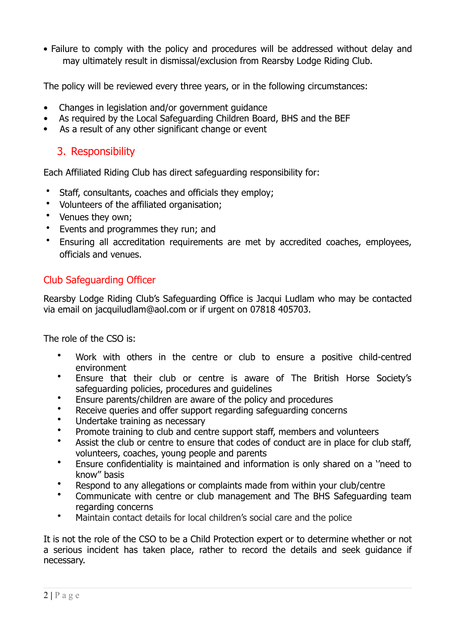• Failure to comply with the policy and procedures will be addressed without delay and may ultimately result in dismissal/exclusion from Rearsby Lodge Riding Club.

The policy will be reviewed every three years, or in the following circumstances:

- Changes in legislation and/or government guidance
- As required by the Local Safeguarding Children Board, BHS and the BEF
- As a result of any other significant change or event

# 3. Responsibility

Each Affiliated Riding Club has direct safeguarding responsibility for:

- Staff, consultants, coaches and officials they employ;
- Volunteers of the affiliated organisation;
- Venues they own;
- Events and programmes they run; and
- Ensuring all accreditation requirements are met by accredited coaches, employees, officials and venues.

# Club Safeguarding Officer

Rearsby Lodge Riding Club's Safeguarding Office is Jacqui Ludlam who may be contacted via email on jacquiludlam@aol.com or if urgent on 07818 405703.

The role of the CSO is:

- Work with others in the centre or club to ensure a positive child-centred environment
- Ensure that their club or centre is aware of The British Horse Society's safeguarding policies, procedures and guidelines
- Ensure parents/children are aware of the policy and procedures
- Receive queries and offer support regarding safeguarding concerns
- Undertake training as necessary
- Promote training to club and centre support staff, members and volunteers
- Assist the club or centre to ensure that codes of conduct are in place for club staff, volunteers, coaches, young people and parents
- Ensure confidentiality is maintained and information is only shared on a ''need to know'' basis
- Respond to any allegations or complaints made from within your club/centre
- Communicate with centre or club management and The BHS Safeguarding team regarding concerns
- Maintain contact details for local children's social care and the police

It is not the role of the CSO to be a Child Protection expert or to determine whether or not a serious incident has taken place, rather to record the details and seek guidance if necessary.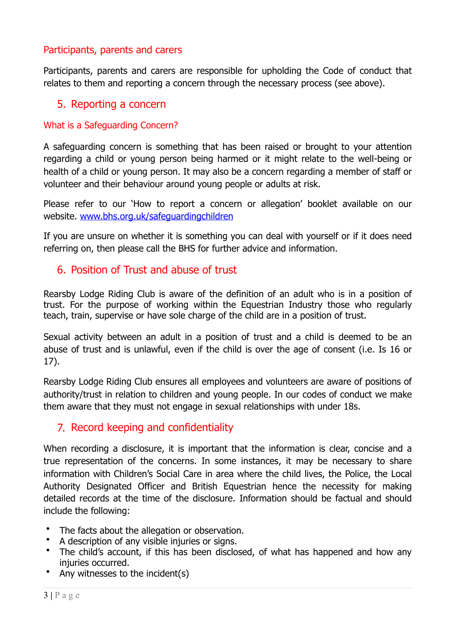## Participants, parents and carers

Participants, parents and carers are responsible for upholding the Code of conduct that relates to them and reporting a concern through the necessary process (see above).

## 5. Reporting a concern

#### What is a Safeguarding Concern?

A safeguarding concern is something that has been raised or brought to your attention regarding a child or young person being harmed or it might relate to the well-being or health of a child or young person. It may also be a concern regarding a member of staff or volunteer and their behaviour around young people or adults at risk.

Please refer to our 'How to report a concern or allegation' booklet available on our website. [www.bhs.org.uk/safeguardingchildren](http://www.bhs.org.uk/safeguardingchildren)

If you are unsure on whether it is something you can deal with yourself or if it does need referring on, then please call the BHS for further advice and information.

## 6. Position of Trust and abuse of trust

Rearsby Lodge Riding Club is aware of the definition of an adult who is in a position of trust. For the purpose of working within the Equestrian Industry those who regularly teach, train, supervise or have sole charge of the child are in a position of trust.

Sexual activity between an adult in a position of trust and a child is deemed to be an abuse of trust and is unlawful, even if the child is over the age of consent (i.e. Is 16 or 17).

Rearsby Lodge Riding Club ensures all employees and volunteers are aware of positions of authority/trust in relation to children and young people. In our codes of conduct we make them aware that they must not engage in sexual relationships with under 18s.

# 7. Record keeping and confidentiality

When recording a disclosure, it is important that the information is clear, concise and a true representation of the concerns. In some instances, it may be necessary to share information with Children's Social Care in area where the child lives, the Police, the Local Authority Designated Officer and British Equestrian hence the necessity for making detailed records at the time of the disclosure. Information should be factual and should include the following:

- The facts about the allegation or observation.
- A description of any visible injuries or signs.
- The child's account, if this has been disclosed, of what has happened and how any injuries occurred.
- Any witnesses to the incident $(s)$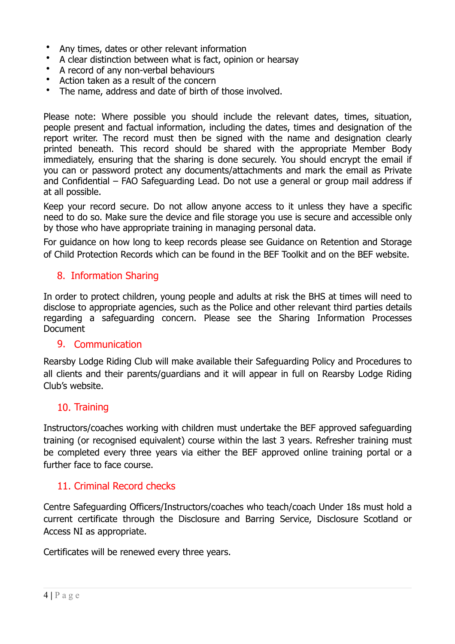- Any times, dates or other relevant information
- A clear distinction between what is fact, opinion or hearsay
- A record of any non-verbal behaviours
- Action taken as a result of the concern
- The name, address and date of birth of those involved.

Please note: Where possible you should include the relevant dates, times, situation, people present and factual information, including the dates, times and designation of the report writer. The record must then be signed with the name and designation clearly printed beneath. This record should be shared with the appropriate Member Body immediately, ensuring that the sharing is done securely. You should encrypt the email if you can or password protect any documents/attachments and mark the email as Private and Confidential – FAO Safeguarding Lead. Do not use a general or group mail address if at all possible.

Keep your record secure. Do not allow anyone access to it unless they have a specific need to do so. Make sure the device and file storage you use is secure and accessible only by those who have appropriate training in managing personal data.

For guidance on how long to keep records please see Guidance on Retention and Storage of Child Protection Records which can be found in the BEF Toolkit and on the BEF website.

## 8. Information Sharing

In order to protect children, young people and adults at risk the BHS at times will need to disclose to appropriate agencies, such as the Police and other relevant third parties details regarding a safeguarding concern. Please see the Sharing Information Processes Document

#### 9. Communication

Rearsby Lodge Riding Club will make available their Safeguarding Policy and Procedures to all clients and their parents/guardians and it will appear in full on Rearsby Lodge Riding Club's website.

## 10. Training

Instructors/coaches working with children must undertake the BEF approved safeguarding training (or recognised equivalent) course within the last 3 years. Refresher training must be completed every three years via either the BEF approved online training portal or a further face to face course.

## 11. Criminal Record checks

Centre Safeguarding Officers/Instructors/coaches who teach/coach Under 18s must hold a current certificate through the Disclosure and Barring Service, Disclosure Scotland or Access NI as appropriate.

Certificates will be renewed every three years.